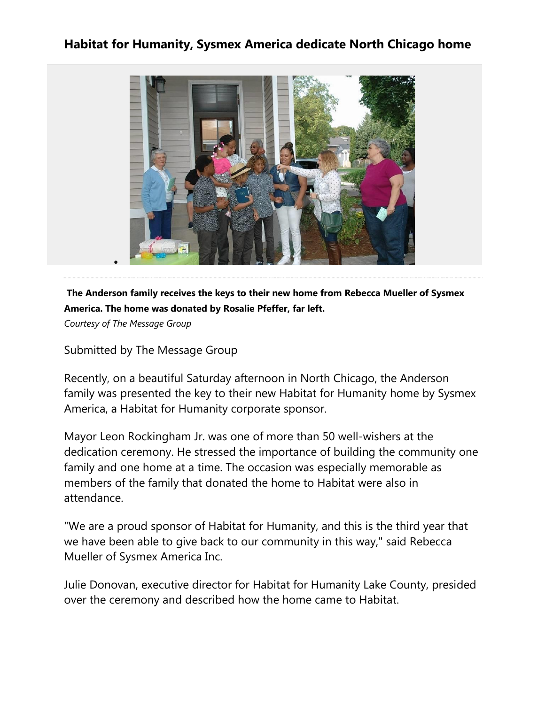## **Habitat for Humanity, Sysmex America dedicate North Chicago home**



## **[T](http://pinterest.com/pin/create/button/?url=http%3A%2F%2Fwww.dailyherald.com%2Farticle%2F20161003%2Fsubmitted%2F161009712%2F&media=http%3A%2F%2Fwww.dailyherald.com/storyimage/DA/20161003/submitted/161009712/AR/0/AR-161009712.jpg&updated=201610031504%26amp%3BMaxW%3D800%26amp%3BmaxH%3D800%26amp%3Bupdated%3D201405250031%26amp%3Bnoborder&description=The%20Anderson%20family%20receives%20the%20keys%20to%20their%20new%20home%20from%20Rebecca%20Mueller%20of%20Sysmex%20America.%20The%20home%20was%20donated%20by%20Rosalie%20Pfeffer%2C%20far%20left.)he Anderson family receives the keys to their new home from Rebecca Mueller of Sysmex America. The home was donated by Rosalie Pfeffer, far left.**

*Courtesy of The Message Group*

Submitted by The Message Group

Recently, on a beautiful Saturday afternoon in North Chicago, the Anderson family was presented the key to their new Habitat for Humanity home by Sysmex America, a Habitat for Humanity corporate sponsor.

Mayor Leon Rockingham Jr. was one of more than 50 well-wishers at the dedication ceremony. He stressed the importance of building the community one family and one home at a time. The occasion was especially memorable as members of the family that donated the home to Habitat were also in attendance.

"We are a proud sponsor of Habitat for Humanity, and this is the third year that we have been able to give back to our community in this way," said Rebecca Mueller of Sysmex America Inc.

Julie Donovan, executive director for Habitat for Humanity Lake County, presided over the ceremony and described how the home came to Habitat.